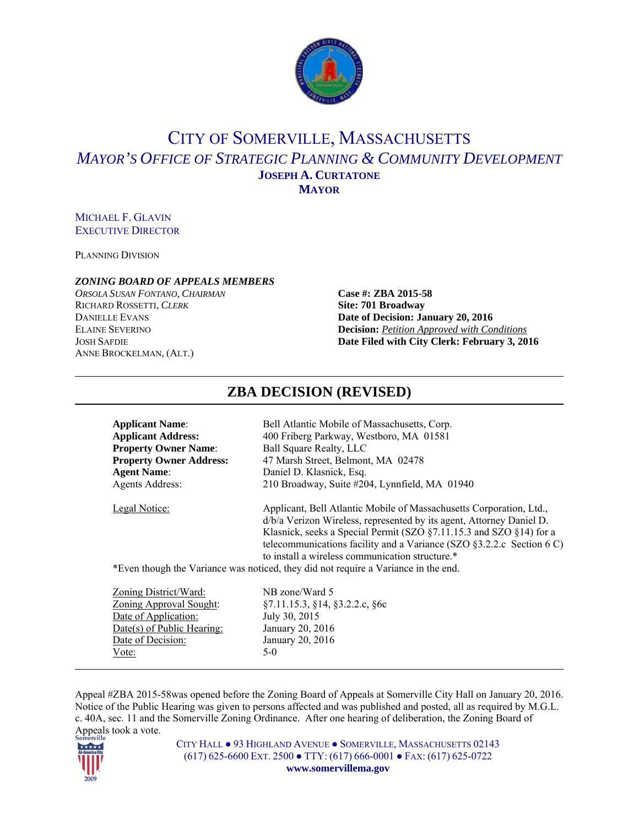

# CITY OF SOMERVILLE, MASSACHUSETTS *MAYOR'S OFFICE OF STRATEGIC PLANNING & COMMUNITY DEVELOPMENT* **JOSEPH A. CURTATONE MAYOR**

# MICHAEL F. GLAVIN EXECUTIVE DIRECTOR

PLANNING DIVISION

#### *ZONING BOARD OF APPEALS MEMBERS*

*ORSOLA SUSAN FONTANO*, *CHAIRMAN* **Case #: ZBA 2015-58** RICHARD ROSSETTI, *CLERK* **Site: 701 Broadway** ANNE BROCKELMAN, (ALT.)

# **DANIELLE EVANS Date of Decision: January 20, 2016** ELAINE SEVERINO **Decision:** *Petition Approved with Conditions* JOSH SAFDIE **Date Filed with City Clerk: February 3, 2016**

| <b>Applicant Name:</b>         | Bell Atlantic Mobile of Massachusetts, Corp.                                                                                                                                                                                                                                                                                                       |
|--------------------------------|----------------------------------------------------------------------------------------------------------------------------------------------------------------------------------------------------------------------------------------------------------------------------------------------------------------------------------------------------|
| <b>Applicant Address:</b>      | 400 Friberg Parkway, Westboro, MA 01581                                                                                                                                                                                                                                                                                                            |
| <b>Property Owner Name:</b>    | <b>Ball Square Realty, LLC</b>                                                                                                                                                                                                                                                                                                                     |
| <b>Property Owner Address:</b> | 47 Marsh Street, Belmont, MA 02478                                                                                                                                                                                                                                                                                                                 |
| <b>Agent Name:</b>             | Daniel D. Klasnick, Esq.                                                                                                                                                                                                                                                                                                                           |
| Agents Address:                | 210 Broadway, Suite #204, Lynnfield, MA 01940                                                                                                                                                                                                                                                                                                      |
| Legal Notice:                  | Applicant, Bell Atlantic Mobile of Massachusetts Corporation, Ltd.,<br>d/b/a Verizon Wireless, represented by its agent, Attorney Daniel D.<br>Klasnick, seeks a Special Permit (SZO §7.11.15.3 and SZO §14) for a<br>telecommunications facility and a Variance (SZO $\S$ 3.2.2.c Section 6 C)<br>to install a wireless communication structure.* |
|                                | *Even though the Variance was noticed, they did not require a Variance in the end.                                                                                                                                                                                                                                                                 |

**ZBA DECISION (REVISED)** 

| NB zone/Ward 5                                    |
|---------------------------------------------------|
| $\S 7.11.15.3$ , $\S 14$ , $\S 3.2.2.c$ , $\S 6c$ |
| July 30, 2015                                     |
| January 20, 2016                                  |
| January 20, 2016                                  |
| $5-0$                                             |
|                                                   |

Appeal #ZBA 2015-58was opened before the Zoning Board of Appeals at Somerville City Hall on January 20, 2016. Notice of the Public Hearing was given to persons affected and was published and posted, all as required by M.G.L. c. 40A, sec. 11 and the Somerville Zoning Ordinance. After one hearing of deliberation, the Zoning Board of Appeals took a vote.



CITY HALL ● 93 HIGHLAND AVENUE ● SOMERVILLE, MASSACHUSETTS 02143 (617) 625-6600 EXT. 2500 ● TTY: (617) 666-0001 ● FAX: (617) 625-0722 **www.somervillema.gov**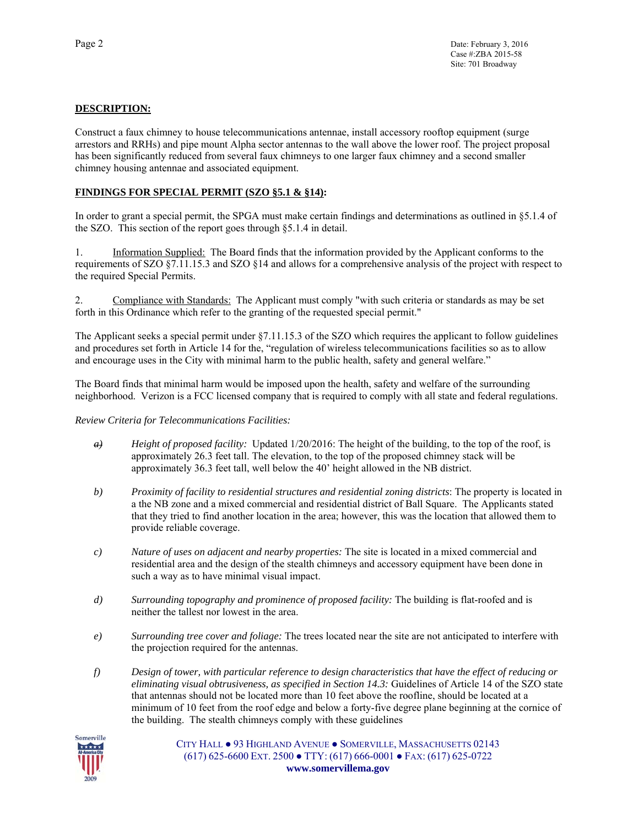# **DESCRIPTION:**

Construct a faux chimney to house telecommunications antennae, install accessory rooftop equipment (surge arrestors and RRHs) and pipe mount Alpha sector antennas to the wall above the lower roof. The project proposal has been significantly reduced from several faux chimneys to one larger faux chimney and a second smaller chimney housing antennae and associated equipment.

# **FINDINGS FOR SPECIAL PERMIT (SZO §5.1 & §14):**

In order to grant a special permit, the SPGA must make certain findings and determinations as outlined in §5.1.4 of the SZO. This section of the report goes through §5.1.4 in detail.

1. Information Supplied: The Board finds that the information provided by the Applicant conforms to the requirements of SZO §7.11.15.3 and SZO §14 and allows for a comprehensive analysis of the project with respect to the required Special Permits.

2. Compliance with Standards: The Applicant must comply "with such criteria or standards as may be set forth in this Ordinance which refer to the granting of the requested special permit."

The Applicant seeks a special permit under §7.11.15.3 of the SZO which requires the applicant to follow guidelines and procedures set forth in Article 14 for the, "regulation of wireless telecommunications facilities so as to allow and encourage uses in the City with minimal harm to the public health, safety and general welfare."

The Board finds that minimal harm would be imposed upon the health, safety and welfare of the surrounding neighborhood. Verizon is a FCC licensed company that is required to comply with all state and federal regulations.

#### *Review Criteria for Telecommunications Facilities:*

- *a) Height of proposed facility:* Updated 1/20/2016: The height of the building, to the top of the roof, is approximately 26.3 feet tall. The elevation, to the top of the proposed chimney stack will be approximately 36.3 feet tall, well below the 40' height allowed in the NB district.
- *b) Proximity of facility to residential structures and residential zoning districts*: The property is located in a the NB zone and a mixed commercial and residential district of Ball Square. The Applicants stated that they tried to find another location in the area; however, this was the location that allowed them to provide reliable coverage.
- *c) Nature of uses on adjacent and nearby properties:* The site is located in a mixed commercial and residential area and the design of the stealth chimneys and accessory equipment have been done in such a way as to have minimal visual impact.
- *d) Surrounding topography and prominence of proposed facility:* The building is flat-roofed and is neither the tallest nor lowest in the area.
- *e) Surrounding tree cover and foliage:* The trees located near the site are not anticipated to interfere with the projection required for the antennas.
- *f) Design of tower, with particular reference to design characteristics that have the effect of reducing or eliminating visual obtrusiveness, as specified in Section 14.3:* Guidelines of Article 14 of the SZO state that antennas should not be located more than 10 feet above the roofline, should be located at a minimum of 10 feet from the roof edge and below a forty-five degree plane beginning at the cornice of the building. The stealth chimneys comply with these guidelines



CITY HALL ● 93 HIGHLAND AVENUE ● SOMERVILLE, MASSACHUSETTS 02143 (617) 625-6600 EXT. 2500 ● TTY: (617) 666-0001 ● FAX: (617) 625-0722 **www.somervillema.gov**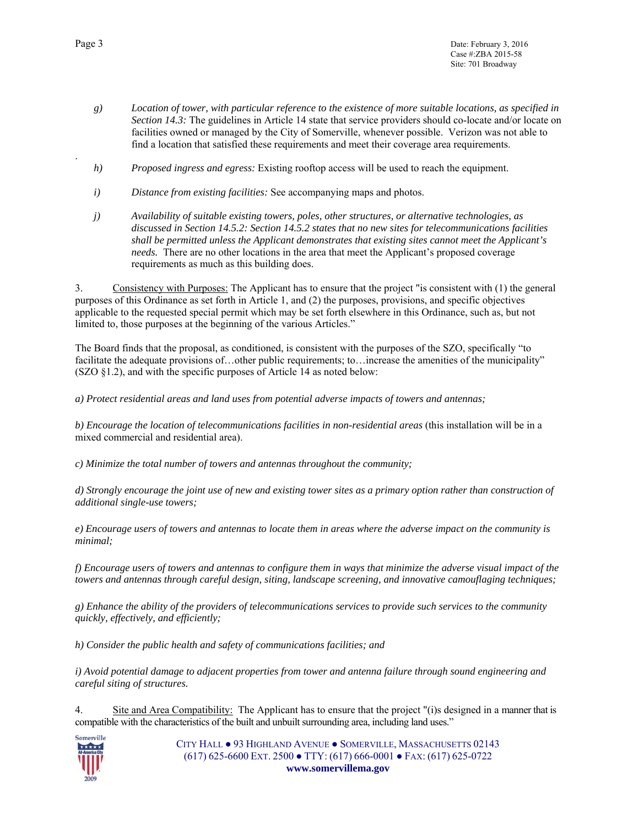- *g) Location of tower, with particular reference to the existence of more suitable locations, as specified in Section 14.3:* The guidelines in Article 14 state that service providers should co-locate and/or locate on facilities owned or managed by the City of Somerville, whenever possible. Verizon was not able to find a location that satisfied these requirements and meet their coverage area requirements.
- *h) Proposed ingress and egress:* Existing rooftop access will be used to reach the equipment.
- *i) Distance from existing facilities:* See accompanying maps and photos.
- *j) Availability of suitable existing towers, poles, other structures, or alternative technologies, as discussed in Section 14.5.2: Section 14.5.2 states that no new sites for telecommunications facilities shall be permitted unless the Applicant demonstrates that existing sites cannot meet the Applicant's needs.* There are no other locations in the area that meet the Applicant's proposed coverage requirements as much as this building does.

3. Consistency with Purposes: The Applicant has to ensure that the project "is consistent with (1) the general purposes of this Ordinance as set forth in Article 1, and (2) the purposes, provisions, and specific objectives applicable to the requested special permit which may be set forth elsewhere in this Ordinance, such as, but not limited to, those purposes at the beginning of the various Articles."

The Board finds that the proposal, as conditioned, is consistent with the purposes of the SZO, specifically "to facilitate the adequate provisions of…other public requirements; to…increase the amenities of the municipality" (SZO §1.2), and with the specific purposes of Article 14 as noted below:

*a) Protect residential areas and land uses from potential adverse impacts of towers and antennas;* 

*b) Encourage the location of telecommunications facilities in non-residential areas* (this installation will be in a mixed commercial and residential area).

*c) Minimize the total number of towers and antennas throughout the community;* 

*d) Strongly encourage the joint use of new and existing tower sites as a primary option rather than construction of additional single-use towers;* 

*e) Encourage users of towers and antennas to locate them in areas where the adverse impact on the community is minimal;* 

*f) Encourage users of towers and antennas to configure them in ways that minimize the adverse visual impact of the towers and antennas through careful design, siting, landscape screening, and innovative camouflaging techniques;* 

*g) Enhance the ability of the providers of telecommunications services to provide such services to the community quickly, effectively, and efficiently;* 

*h) Consider the public health and safety of communications facilities; and* 

*i) Avoid potential damage to adjacent properties from tower and antenna failure through sound engineering and careful siting of structures.* 

4. Site and Area Compatibility: The Applicant has to ensure that the project "(i)s designed in a manner that is compatible with the characteristics of the built and unbuilt surrounding area, including land uses."



CITY HALL ● 93 HIGHLAND AVENUE ● SOMERVILLE, MASSACHUSETTS 02143 (617) 625-6600 EXT. 2500 ● TTY: (617) 666-0001 ● FAX: (617) 625-0722 **www.somervillema.gov** 

.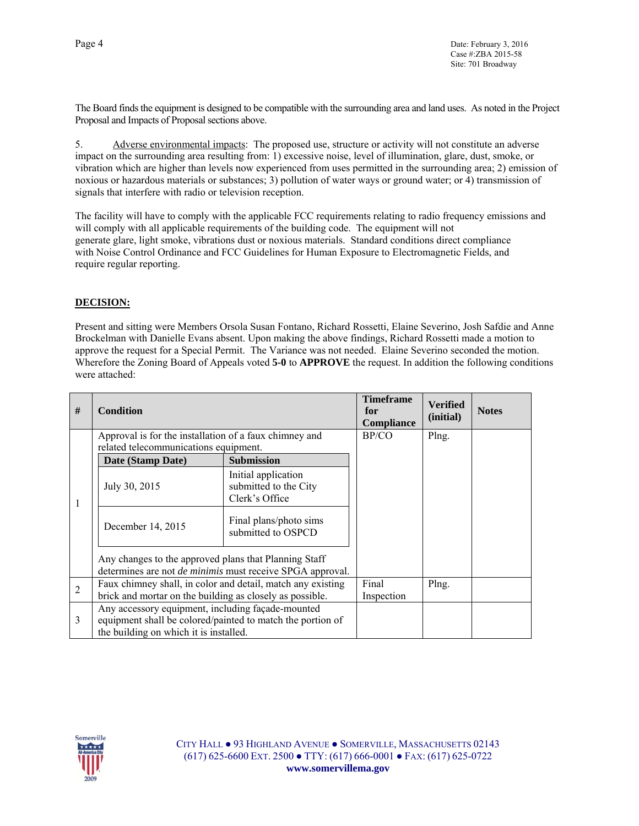The Board finds the equipment is designed to be compatible with the surrounding area and land uses. As noted in the Project Proposal and Impacts of Proposal sections above.

5. Adverse environmental impacts: The proposed use, structure or activity will not constitute an adverse impact on the surrounding area resulting from: 1) excessive noise, level of illumination, glare, dust, smoke, or vibration which are higher than levels now experienced from uses permitted in the surrounding area; 2) emission of noxious or hazardous materials or substances; 3) pollution of water ways or ground water; or 4) transmission of signals that interfere with radio or television reception.

The facility will have to comply with the applicable FCC requirements relating to radio frequency emissions and will comply with all applicable requirements of the building code. The equipment will not generate glare, light smoke, vibrations dust or noxious materials. Standard conditions direct compliance with Noise Control Ordinance and FCC Guidelines for Human Exposure to Electromagnetic Fields, and require regular reporting.

#### **DECISION:**

Present and sitting were Members Orsola Susan Fontano, Richard Rossetti, Elaine Severino, Josh Safdie and Anne Brockelman with Danielle Evans absent. Upon making the above findings, Richard Rossetti made a motion to approve the request for a Special Permit. The Variance was not needed. Elaine Severino seconded the motion. Wherefore the Zoning Board of Appeals voted **5-0** to **APPROVE** the request. In addition the following conditions were attached:

| #              | <b>Condition</b>                                                                                                                                          |                                                                | <b>Timeframe</b><br>for<br><b>Compliance</b> | <b>Verified</b><br>(initial) | <b>Notes</b> |
|----------------|-----------------------------------------------------------------------------------------------------------------------------------------------------------|----------------------------------------------------------------|----------------------------------------------|------------------------------|--------------|
|                | Approval is for the installation of a faux chimney and<br>related telecommunications equipment.                                                           |                                                                | BP/CO                                        | Plng.                        |              |
| 1              | Date (Stamp Date)                                                                                                                                         | <b>Submission</b>                                              |                                              |                              |              |
|                | July 30, 2015                                                                                                                                             | Initial application<br>submitted to the City<br>Clerk's Office |                                              |                              |              |
|                | December 14, 2015                                                                                                                                         | Final plans/photo sims<br>submitted to OSPCD                   |                                              |                              |              |
|                | Any changes to the approved plans that Planning Staff<br>determines are not <i>de minimis</i> must receive SPGA approval.                                 |                                                                |                                              |                              |              |
| $\overline{2}$ | Faux chimney shall, in color and detail, match any existing<br>brick and mortar on the building as closely as possible.                                   |                                                                | Final<br>Inspection                          | Plng.                        |              |
| 3              | Any accessory equipment, including façade-mounted<br>equipment shall be colored/painted to match the portion of<br>the building on which it is installed. |                                                                |                                              |                              |              |

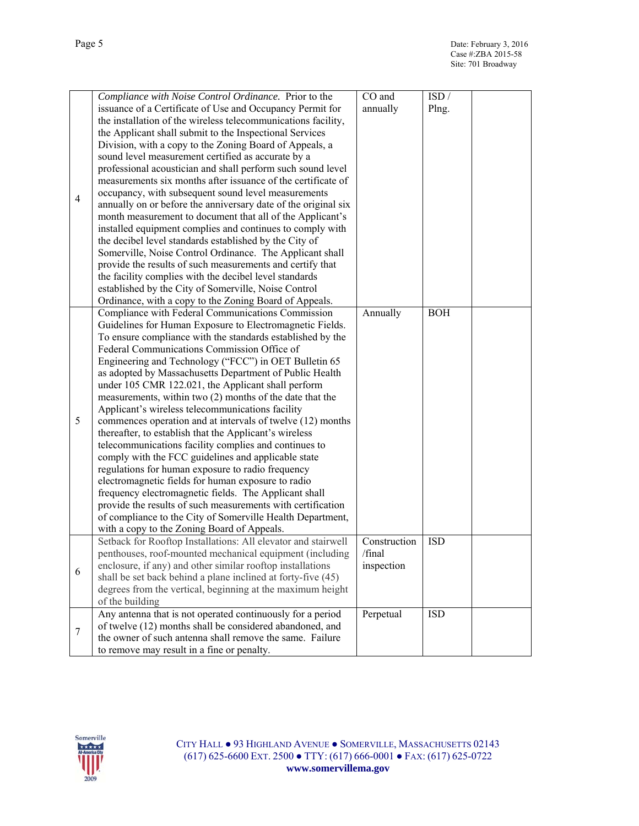|                | Compliance with Noise Control Ordinance. Prior to the          | CO and       | ISD/       |
|----------------|----------------------------------------------------------------|--------------|------------|
|                | issuance of a Certificate of Use and Occupancy Permit for      | annually     | Plng.      |
|                | the installation of the wireless telecommunications facility,  |              |            |
|                | the Applicant shall submit to the Inspectional Services        |              |            |
|                |                                                                |              |            |
|                | Division, with a copy to the Zoning Board of Appeals, a        |              |            |
|                | sound level measurement certified as accurate by a             |              |            |
|                | professional acoustician and shall perform such sound level    |              |            |
|                | measurements six months after issuance of the certificate of   |              |            |
| $\overline{4}$ | occupancy, with subsequent sound level measurements            |              |            |
|                |                                                                |              |            |
|                | annually on or before the anniversary date of the original six |              |            |
|                | month measurement to document that all of the Applicant's      |              |            |
|                | installed equipment complies and continues to comply with      |              |            |
|                | the decibel level standards established by the City of         |              |            |
|                | Somerville, Noise Control Ordinance. The Applicant shall       |              |            |
|                | provide the results of such measurements and certify that      |              |            |
|                |                                                                |              |            |
|                | the facility complies with the decibel level standards         |              |            |
|                | established by the City of Somerville, Noise Control           |              |            |
|                | Ordinance, with a copy to the Zoning Board of Appeals.         |              |            |
|                | Compliance with Federal Communications Commission              | Annually     | <b>BOH</b> |
|                | Guidelines for Human Exposure to Electromagnetic Fields.       |              |            |
|                | To ensure compliance with the standards established by the     |              |            |
|                | Federal Communications Commission Office of                    |              |            |
|                |                                                                |              |            |
|                | Engineering and Technology ("FCC") in OET Bulletin 65          |              |            |
|                | as adopted by Massachusetts Department of Public Health        |              |            |
|                | under 105 CMR 122.021, the Applicant shall perform             |              |            |
|                | measurements, within two (2) months of the date that the       |              |            |
|                | Applicant's wireless telecommunications facility               |              |            |
| 5              |                                                                |              |            |
|                | commences operation and at intervals of twelve (12) months     |              |            |
|                | thereafter, to establish that the Applicant's wireless         |              |            |
|                | telecommunications facility complies and continues to          |              |            |
|                | comply with the FCC guidelines and applicable state            |              |            |
|                | regulations for human exposure to radio frequency              |              |            |
|                | electromagnetic fields for human exposure to radio             |              |            |
|                | frequency electromagnetic fields. The Applicant shall          |              |            |
|                |                                                                |              |            |
|                | provide the results of such measurements with certification    |              |            |
|                | of compliance to the City of Somerville Health Department,     |              |            |
|                | with a copy to the Zoning Board of Appeals.                    |              |            |
|                | Setback for Rooftop Installations: All elevator and stairwell  | Construction | <b>ISD</b> |
|                | penthouses, roof-mounted mechanical equipment (including       | /final       |            |
|                | enclosure, if any) and other similar rooftop installations     | inspection   |            |
| 6              |                                                                |              |            |
|                | shall be set back behind a plane inclined at forty-five (45)   |              |            |
|                | degrees from the vertical, beginning at the maximum height     |              |            |
|                | of the building                                                |              |            |
|                | Any antenna that is not operated continuously for a period     | Perpetual    | <b>ISD</b> |
|                | of twelve (12) months shall be considered abandoned, and       |              |            |
| 7              | the owner of such antenna shall remove the same. Failure       |              |            |
|                |                                                                |              |            |
|                | to remove may result in a fine or penalty.                     |              |            |

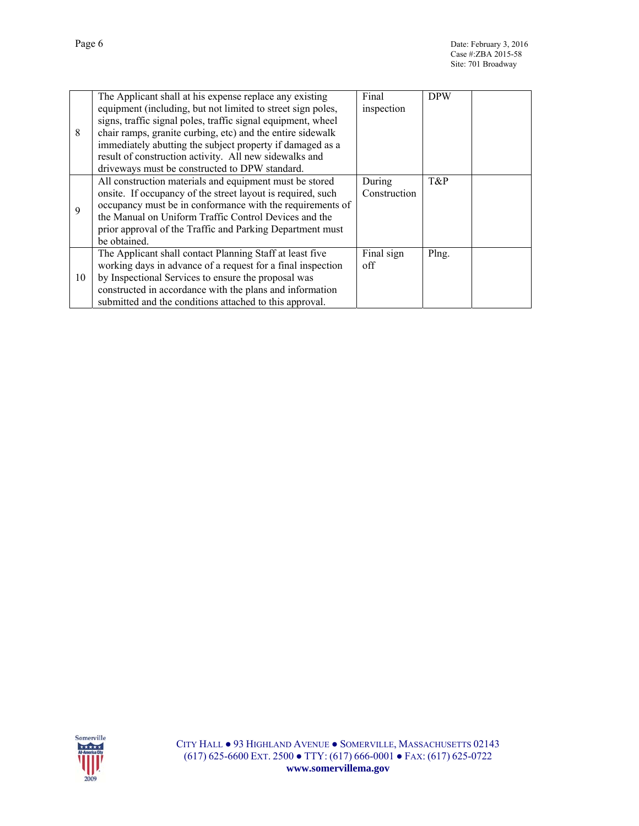|    | The Applicant shall at his expense replace any existing      | Final        | <b>DPW</b> |  |
|----|--------------------------------------------------------------|--------------|------------|--|
|    | equipment (including, but not limited to street sign poles,  | inspection   |            |  |
|    | signs, traffic signal poles, traffic signal equipment, wheel |              |            |  |
| 8  | chair ramps, granite curbing, etc) and the entire sidewalk   |              |            |  |
|    | immediately abutting the subject property if damaged as a    |              |            |  |
|    | result of construction activity. All new sidewalks and       |              |            |  |
|    | driveways must be constructed to DPW standard.               |              |            |  |
|    | All construction materials and equipment must be stored      | During       | T&P        |  |
|    | onsite. If occupancy of the street layout is required, such  | Construction |            |  |
| 9  | occupancy must be in conformance with the requirements of    |              |            |  |
|    | the Manual on Uniform Traffic Control Devices and the        |              |            |  |
|    | prior approval of the Traffic and Parking Department must    |              |            |  |
|    | be obtained.                                                 |              |            |  |
|    | The Applicant shall contact Planning Staff at least five     | Final sign   | Plng.      |  |
|    | working days in advance of a request for a final inspection  | off          |            |  |
| 10 | by Inspectional Services to ensure the proposal was          |              |            |  |
|    | constructed in accordance with the plans and information     |              |            |  |
|    | submitted and the conditions attached to this approval.      |              |            |  |